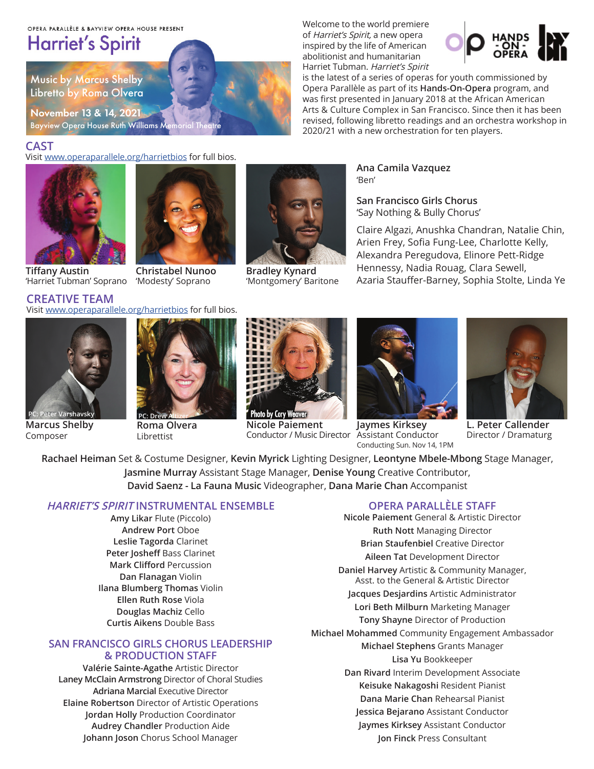#### OPERA PARALLÈLE & BAYVIEW OPERA HOUSE PRESENT

# **Harriet's Spirit**

Music by Marcus Shelby Libretto by Roma Olvera

November 13 & 14, 2021 Bayview Opera House Ruth Williams Me

# **CAST**

Visit www.operaparallele.org/harrietbios for full bios.

Visit www.operaparallele.org/harrietbios for full bios.





**Tiffany Austin** 'Harriet Tubman' Soprano

**CREATIVE TEAM**

**Christabel Nunoo**  'Modesty' Soprano



**Bradley Kynard**  'Montgomery' Baritone

Welcome to the world premiere of Harriet's Spirit, a new opera inspired by the life of American abolitionist and humanitarian Harriet Tubman. Harriet's Spirit



is the latest of a series of operas for youth commissioned by Opera Parallèle as part of its **Hands-On-Opera** program, and was first presented in January 2018 at the African American Arts & Culture Complex in San Francisco. Since then it has been revised, following libretto readings and an orchestra workshop in 2020/21 with a new orchestration for ten players.

> **Ana Camila Vazquez** 'Ben'

**San Francisco Girls Chorus**  'Say Nothing & Bully Chorus'

Claire Algazi, Anushka Chandran, Natalie Chin, Arien Frey, Sofia Fung-Lee, Charlotte Kelly, Alexandra Peregudova, Elinore Pett-Ridge Hennessy, Nadia Rouag, Clara Sewell, Azaria Stauffer-Barney, Sophia Stolte, Linda Ye



**Marcus Shelby**  Composer



**Roma Olvera**  Librettist



**Nicole Paiement**  Conductor / Music Director Assistant Conductor



**Jaymes Kirksey**  Conducting Sun. Nov 14, 1PM



**L. Peter Callender**  Director / Dramaturg

**Rachael Heiman** Set & Costume Designer, **Kevin Myrick** Lighting Designer, **Leontyne Mbele-Mbong** Stage Manager, **Jasmine Murray** Assistant Stage Manager, **Denise Young** Creative Contributor, **David Saenz - La Fauna Music** Videographer, **Dana Marie Chan** Accompanist

# **HARRIET'S SPIRIT INSTRUMENTAL ENSEMBLE**

**Amy Likar** Flute (Piccolo) **Andrew Port** Oboe **Leslie Tagorda** Clarinet **Peter Josheff** Bass Clarinet **Mark Clifford** Percussion **Dan Flanagan** Violin **Ilana Blumberg Thomas** Violin **Ellen Ruth Rose** Viola **Douglas Machiz** Cello **Curtis Aikens** Double Bass

# **SAN FRANCISCO GIRLS CHORUS LEADERSHIP & PRODUCTION STAFF**

**Valérie Sainte-Agathe** Artistic Director **Laney McClain Armstrong** Director of Choral Studies **Adriana Marcial** Executive Director **Elaine Robertson** Director of Artistic Operations **Jordan Holly** Production Coordinator **Audrey Chandler** Production Aide **Johann Joson** Chorus School Manager

# **OPERA PARALLÈLE STAFF**

**Nicole Paiement** General & Artistic Director **Ruth Nott** Managing Director **Brian Staufenbiel** Creative Director **Aileen Tat** Development Director **Daniel Harvey** Artistic & Community Manager, Asst. to the General & Artistic Director **Jacques Desjardins** Artistic Administrator **Lori Beth Milburn** Marketing Manager **Tony Shayne** Director of Production **Michael Mohammed** Community Engagement Ambassador **Michael Stephens** Grants Manager **Lisa Yu** Bookkeeper **Dan Rivard** Interim Development Associate **Keisuke Nakagoshi** Resident Pianist **Dana Marie Chan** Rehearsal Pianist **Jessica Bejarano** Assistant Conductor **Jaymes Kirksey** Assistant Conductor **Jon Finck** Press Consultant